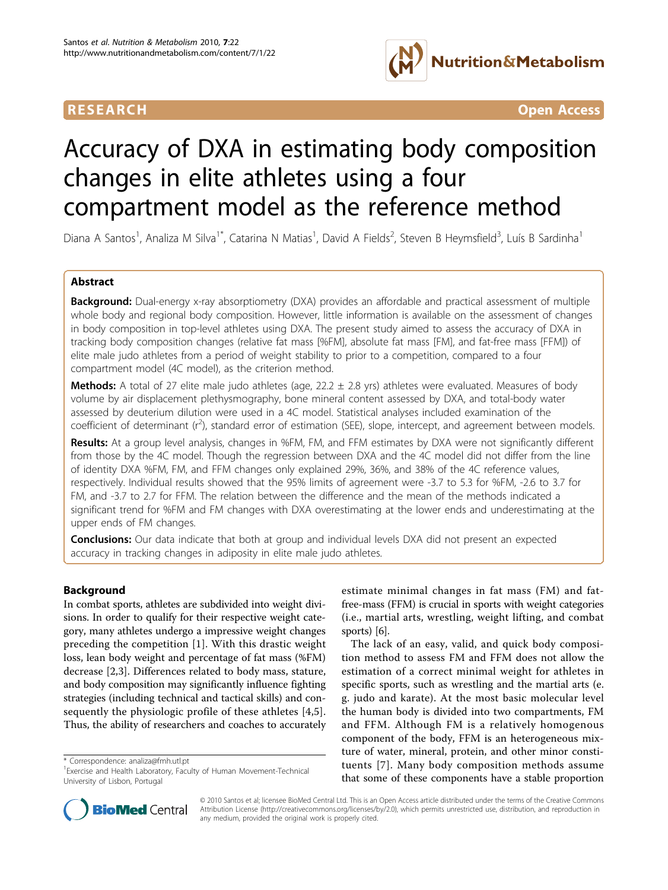

**RESEARCH CONTROL** CONTROL CONTROL CONTROL CONTROL CONTROL CONTROL CONTROL CONTROL CONTROL CONTROL CONTROL CONTROL CONTROL CONTROL CONTROL CONTROL CONTROL CONTROL CONTROL CONTROL CONTROL CONTROL CONTROL CONTROL CONTROL CON

# Accuracy of DXA in estimating body composition changes in elite athletes using a four compartment model as the reference method

Diana A Santos<sup>1</sup>, Analiza M Silva<sup>1\*</sup>, Catarina N Matias<sup>1</sup>, David A Fields<sup>2</sup>, Steven B Heymsfield<sup>3</sup>, Luís B Sardinha<sup>1</sup>

# Abstract

**Background:** Dual-energy x-ray absorptiometry (DXA) provides an affordable and practical assessment of multiple whole body and regional body composition. However, little information is available on the assessment of changes in body composition in top-level athletes using DXA. The present study aimed to assess the accuracy of DXA in tracking body composition changes (relative fat mass [%FM], absolute fat mass [FM], and fat-free mass [FFM]) of elite male judo athletes from a period of weight stability to prior to a competition, compared to a four compartment model (4C model), as the criterion method.

**Methods:** A total of 27 elite male judo athletes (age,  $22.2 \pm 2.8$  yrs) athletes were evaluated. Measures of body volume by air displacement plethysmography, bone mineral content assessed by DXA, and total-body water assessed by deuterium dilution were used in a 4C model. Statistical analyses included examination of the coefficient of determinant (r<sup>2</sup>), standard error of estimation (SEE), slope, intercept, and agreement between models.

Results: At a group level analysis, changes in %FM, FM, and FFM estimates by DXA were not significantly different from those by the 4C model. Though the regression between DXA and the 4C model did not differ from the line of identity DXA %FM, FM, and FFM changes only explained 29%, 36%, and 38% of the 4C reference values, respectively. Individual results showed that the 95% limits of agreement were -3.7 to 5.3 for %FM, -2.6 to 3.7 for FM, and -3.7 to 2.7 for FFM. The relation between the difference and the mean of the methods indicated a significant trend for %FM and FM changes with DXA overestimating at the lower ends and underestimating at the upper ends of FM changes.

**Conclusions:** Our data indicate that both at group and individual levels DXA did not present an expected accuracy in tracking changes in adiposity in elite male judo athletes.

# Background

In combat sports, athletes are subdivided into weight divisions. In order to qualify for their respective weight category, many athletes undergo a impressive weight changes preceding the competition [[1\]](#page-7-0). With this drastic weight loss, lean body weight and percentage of fat mass (%FM) decrease [\[2,3](#page-7-0)]. Differences related to body mass, stature, and body composition may significantly influence fighting strategies (including technical and tactical skills) and consequently the physiologic profile of these athletes [[4,5](#page-7-0)]. Thus, the ability of researchers and coaches to accurately

\* Correspondence: [analiza@fmh.utl.pt](mailto:analiza@fmh.utl.pt)

estimate minimal changes in fat mass (FM) and fatfree-mass (FFM) is crucial in sports with weight categories (i.e., martial arts, wrestling, weight lifting, and combat sports) [[6](#page-8-0)].

The lack of an easy, valid, and quick body composition method to assess FM and FFM does not allow the estimation of a correct minimal weight for athletes in specific sports, such as wrestling and the martial arts (e. g. judo and karate). At the most basic molecular level the human body is divided into two compartments, FM and FFM. Although FM is a relatively homogenous component of the body, FFM is an heterogeneous mixture of water, mineral, protein, and other minor constituents [[7\]](#page-8-0). Many body composition methods assume that some of these components have a stable proportion



© 2010 Santos et al; licensee BioMed Central Ltd. This is an Open Access article distributed under the terms of the Creative Commons Attribution License [\(http://creativecommons.org/licenses/by/2.0](http://creativecommons.org/licenses/by/2.0)), which permits unrestricted use, distribution, and reproduction in any medium, provided the original work is properly cited.

<sup>&</sup>lt;sup>1</sup> Exercise and Health Laboratory, Faculty of Human Movement-Technical University of Lisbon, Portugal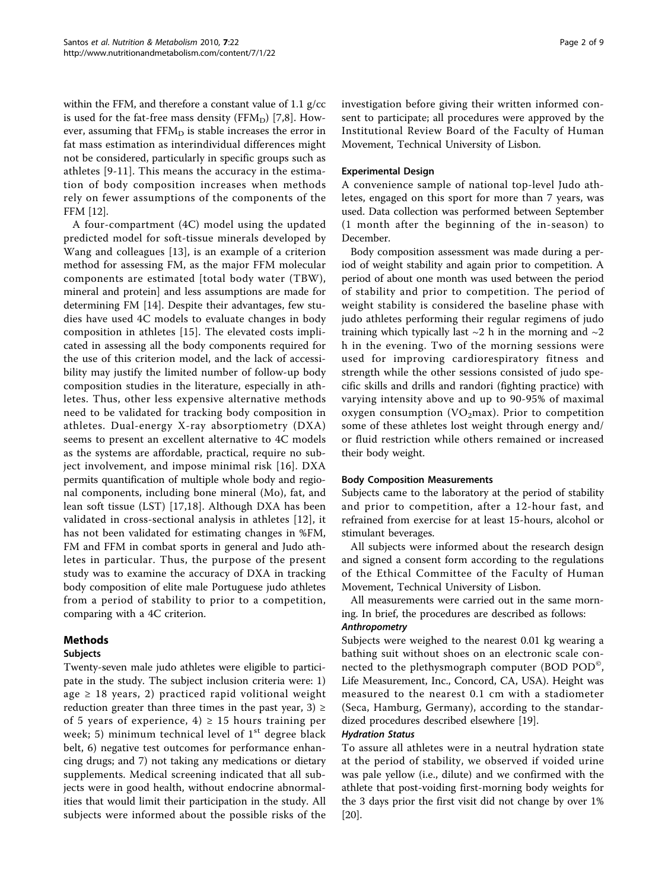within the FFM, and therefore a constant value of 1.1 g/cc is used for the fat-free mass density ( $FFM_D$ ) [\[7](#page-8-0),[8\]](#page-8-0). However, assuming that  $FFM<sub>D</sub>$  is stable increases the error in fat mass estimation as interindividual differences might not be considered, particularly in specific groups such as athletes [[9-11\]](#page-8-0). This means the accuracy in the estimation of body composition increases when methods rely on fewer assumptions of the components of the FFM [[12\]](#page-8-0).

A four-compartment (4C) model using the updated predicted model for soft-tissue minerals developed by Wang and colleagues [[13\]](#page-8-0), is an example of a criterion method for assessing FM, as the major FFM molecular components are estimated [total body water (TBW), mineral and protein] and less assumptions are made for determining FM [[14\]](#page-8-0). Despite their advantages, few studies have used 4C models to evaluate changes in body composition in athletes [[15\]](#page-8-0). The elevated costs implicated in assessing all the body components required for the use of this criterion model, and the lack of accessibility may justify the limited number of follow-up body composition studies in the literature, especially in athletes. Thus, other less expensive alternative methods need to be validated for tracking body composition in athletes. Dual-energy X-ray absorptiometry (DXA) seems to present an excellent alternative to 4C models as the systems are affordable, practical, require no subject involvement, and impose minimal risk [[16\]](#page-8-0). DXA permits quantification of multiple whole body and regional components, including bone mineral (Mo), fat, and lean soft tissue (LST) [\[17,18\]](#page-8-0). Although DXA has been validated in cross-sectional analysis in athletes [[12](#page-8-0)], it has not been validated for estimating changes in %FM, FM and FFM in combat sports in general and Judo athletes in particular. Thus, the purpose of the present study was to examine the accuracy of DXA in tracking body composition of elite male Portuguese judo athletes from a period of stability to prior to a competition, comparing with a 4C criterion.

# Methods

# Subjects

Twenty-seven male judo athletes were eligible to participate in the study. The subject inclusion criteria were: 1) age  $\geq$  18 years, 2) practiced rapid volitional weight reduction greater than three times in the past year, 3)  $\ge$ of 5 years of experience,  $4$ )  $\geq$  15 hours training per week; 5) minimum technical level of  $1<sup>st</sup>$  degree black belt, 6) negative test outcomes for performance enhancing drugs; and 7) not taking any medications or dietary supplements. Medical screening indicated that all subjects were in good health, without endocrine abnormalities that would limit their participation in the study. All subjects were informed about the possible risks of the investigation before giving their written informed consent to participate; all procedures were approved by the Institutional Review Board of the Faculty of Human Movement, Technical University of Lisbon.

# Experimental Design

A convenience sample of national top-level Judo athletes, engaged on this sport for more than 7 years, was used. Data collection was performed between September (1 month after the beginning of the in-season) to December.

Body composition assessment was made during a period of weight stability and again prior to competition. A period of about one month was used between the period of stability and prior to competition. The period of weight stability is considered the baseline phase with judo athletes performing their regular regimens of judo training which typically last  $\sim$ 2 h in the morning and  $\sim$ 2 h in the evening. Two of the morning sessions were used for improving cardiorespiratory fitness and strength while the other sessions consisted of judo specific skills and drills and randori (fighting practice) with varying intensity above and up to 90-95% of maximal oxygen consumption (VO<sub>2</sub>max). Prior to competition some of these athletes lost weight through energy and/ or fluid restriction while others remained or increased their body weight.

# Body Composition Measurements

Subjects came to the laboratory at the period of stability and prior to competition, after a 12-hour fast, and refrained from exercise for at least 15-hours, alcohol or stimulant beverages.

All subjects were informed about the research design and signed a consent form according to the regulations of the Ethical Committee of the Faculty of Human Movement, Technical University of Lisbon.

All measurements were carried out in the same morning. In brief, the procedures are described as follows: Anthropometry

Subjects were weighed to the nearest 0.01 kg wearing a bathing suit without shoes on an electronic scale connected to the plethysmograph computer (BOD POD<sup>®</sup>, Life Measurement, Inc., Concord, CA, USA). Height was measured to the nearest 0.1 cm with a stadiometer (Seca, Hamburg, Germany), according to the standardized procedures described elsewhere [[19](#page-8-0)].

# Hydration Status

To assure all athletes were in a neutral hydration state at the period of stability, we observed if voided urine was pale yellow (i.e., dilute) and we confirmed with the athlete that post-voiding first-morning body weights for the 3 days prior the first visit did not change by over 1% [[20\]](#page-8-0).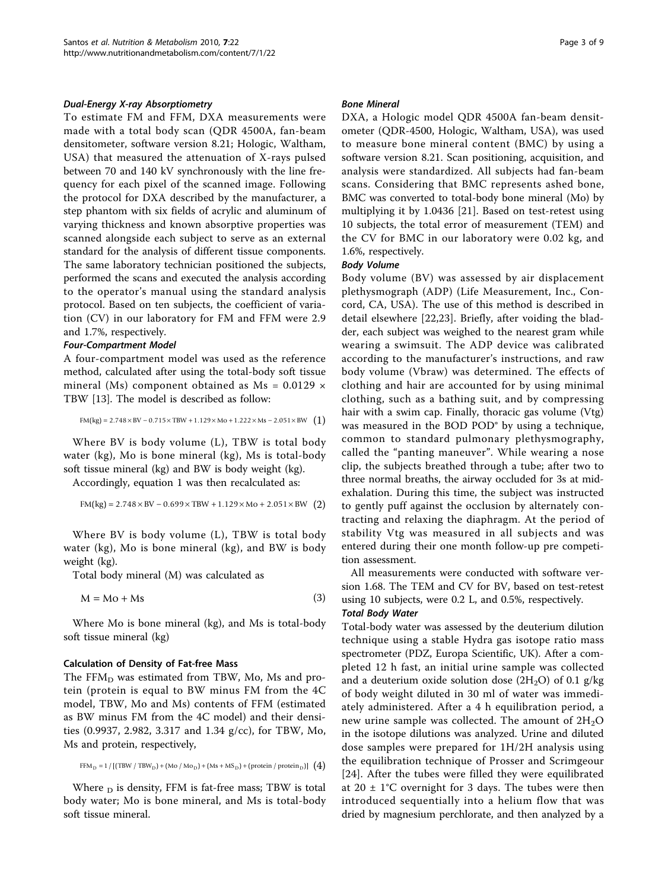## Dual-Energy X-ray Absorptiometry

To estimate FM and FFM, DXA measurements were made with a total body scan (QDR 4500A, fan-beam densitometer, software version 8.21; Hologic, Waltham, USA) that measured the attenuation of X-rays pulsed between 70 and 140 kV synchronously with the line frequency for each pixel of the scanned image. Following the protocol for DXA described by the manufacturer, a step phantom with six fields of acrylic and aluminum of varying thickness and known absorptive properties was scanned alongside each subject to serve as an external standard for the analysis of different tissue components. The same laboratory technician positioned the subjects, performed the scans and executed the analysis according to the operator's manual using the standard analysis protocol. Based on ten subjects, the coefficient of variation (CV) in our laboratory for FM and FFM were 2.9 and 1.7%, respectively.

### Four-Compartment Model

A four-compartment model was used as the reference method, calculated after using the total-body soft tissue mineral (Ms) component obtained as  $Ms = 0.0129 \times$ TBW [\[13](#page-8-0)]. The model is described as follow:

$$
FM(kg) = 2.748 \times BV - 0.715 \times TBW + 1.129 \times Mo + 1.222 \times Ms - 2.051 \times BW \quad (1)
$$

Where BV is body volume (L), TBW is total body water (kg), Mo is bone mineral (kg), Ms is total-body soft tissue mineral (kg) and BW is body weight (kg).

Accordingly, equation 1 was then recalculated as:

$$
FM(kg) = 2.748 \times BV - 0.699 \times TBW + 1.129 \times Mo + 2.051 \times BW \quad (2)
$$

Where BV is body volume (L), TBW is total body water (kg), Mo is bone mineral (kg), and BW is body weight (kg).

Total body mineral (M) was calculated as

$$
M = Mo + Ms
$$
 (3)

Where Mo is bone mineral (kg), and Ms is total-body soft tissue mineral (kg)

#### Calculation of Density of Fat-free Mass

The  $FFM<sub>D</sub>$  was estimated from TBW, Mo, Ms and protein (protein is equal to BW minus FM from the 4C model, TBW, Mo and Ms) contents of FFM (estimated as BW minus FM from the 4C model) and their densities (0.9937, 2.982, 3.317 and 1.34 g/cc), for TBW, Mo, Ms and protein, respectively,

$$
FFM_D = 1 / [(TBW / TBW_D) + (Mo / Mo_D) + (Ms + MS_D) + (protein / protein_D)] (4)
$$

Where  $_D$  is density, FFM is fat-free mass; TBW is total body water; Mo is bone mineral, and Ms is total-body soft tissue mineral.

#### Bone Mineral

DXA, a Hologic model QDR 4500A fan-beam densitometer (QDR-4500, Hologic, Waltham, USA), was used to measure bone mineral content (BMC) by using a software version 8.21. Scan positioning, acquisition, and analysis were standardized. All subjects had fan-beam scans. Considering that BMC represents ashed bone, BMC was converted to total-body bone mineral (Mo) by multiplying it by 1.0436 [\[21](#page-8-0)]. Based on test-retest using 10 subjects, the total error of measurement (TEM) and the CV for BMC in our laboratory were 0.02 kg, and 1.6%, respectively.

#### Body Volume

Body volume (BV) was assessed by air displacement plethysmograph (ADP) (Life Measurement, Inc., Concord, CA, USA). The use of this method is described in detail elsewhere [[22,23](#page-8-0)]. Briefly, after voiding the bladder, each subject was weighed to the nearest gram while wearing a swimsuit. The ADP device was calibrated according to the manufacturer's instructions, and raw body volume (Vbraw) was determined. The effects of clothing and hair are accounted for by using minimal clothing, such as a bathing suit, and by compressing hair with a swim cap. Finally, thoracic gas volume (Vtg) was measured in the BOD POD<sup>®</sup> by using a technique, common to standard pulmonary plethysmography, called the "panting maneuver". While wearing a nose clip, the subjects breathed through a tube; after two to three normal breaths, the airway occluded for 3s at midexhalation. During this time, the subject was instructed to gently puff against the occlusion by alternately contracting and relaxing the diaphragm. At the period of stability Vtg was measured in all subjects and was entered during their one month follow-up pre competition assessment.

All measurements were conducted with software version 1.68. The TEM and CV for BV, based on test-retest using 10 subjects, were 0.2 L, and 0.5%, respectively.

#### Total Body Water

Total-body water was assessed by the deuterium dilution technique using a stable Hydra gas isotope ratio mass spectrometer (PDZ, Europa Scientific, UK). After a completed 12 h fast, an initial urine sample was collected and a deuterium oxide solution dose  $(2H<sub>2</sub>O)$  of 0.1 g/kg of body weight diluted in 30 ml of water was immediately administered. After a 4 h equilibration period, a new urine sample was collected. The amount of  $2H_2O$ in the isotope dilutions was analyzed. Urine and diluted dose samples were prepared for 1H/2H analysis using the equilibration technique of Prosser and Scrimgeour [[24](#page-8-0)]. After the tubes were filled they were equilibrated at  $20 \pm 1$ °C overnight for 3 days. The tubes were then introduced sequentially into a helium flow that was dried by magnesium perchlorate, and then analyzed by a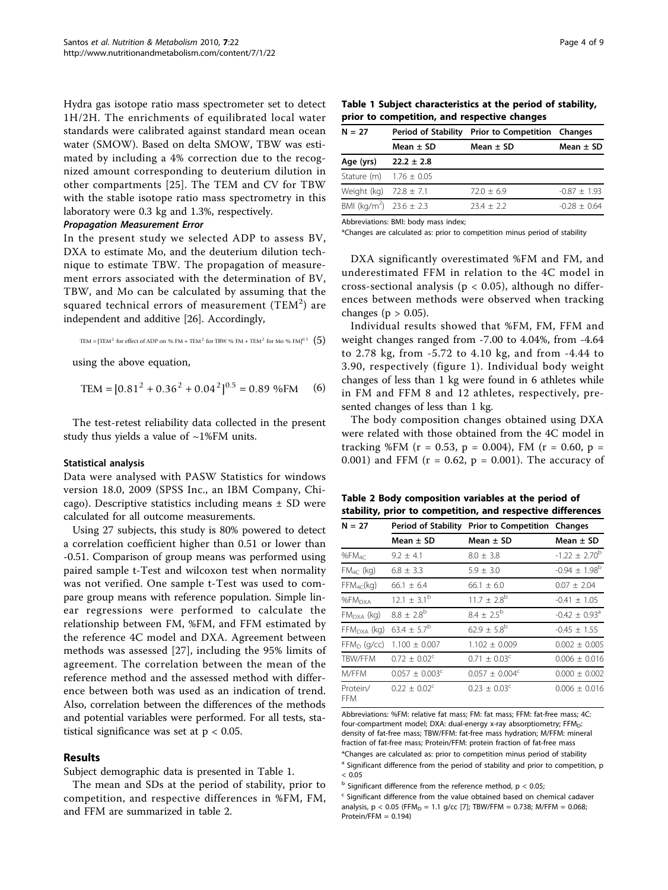Hydra gas isotope ratio mass spectrometer set to detect 1H/2H. The enrichments of equilibrated local water standards were calibrated against standard mean ocean water (SMOW). Based on delta SMOW, TBW was estimated by including a 4% correction due to the recognized amount corresponding to deuterium dilution in other compartments [[25](#page-8-0)]. The TEM and CV for TBW with the stable isotope ratio mass spectrometry in this laboratory were 0.3 kg and 1.3%, respectively.

# Propagation Measurement Error

In the present study we selected ADP to assess BV, DXA to estimate Mo, and the deuterium dilution technique to estimate TBW. The propagation of measurement errors associated with the determination of BV, TBW, and Mo can be calculated by assuming that the squared technical errors of measurement (TEM $^2$ ) are independent and additive [[26\]](#page-8-0). Accordingly,

$$
TEM = [TEM2 for effect of ADP on % FM + TEM2 for TBW % FM + TEM2 for Mo % FM]0.5  $\binom{5}{7}$
$$

using the above equation,

$$
TEM = [0.812 + 0.362 + 0.042]^{0.5} = 0.89 % FM (6)
$$

The test-retest reliability data collected in the present study thus yields a value of  $~1\%$ FM units.

#### Statistical analysis

Data were analysed with PASW Statistics for windows version 18.0, 2009 (SPSS Inc., an IBM Company, Chicago). Descriptive statistics including means  $\pm$  SD were calculated for all outcome measurements.

Using 27 subjects, this study is 80% powered to detect a correlation coefficient higher than 0.51 or lower than -0.51. Comparison of group means was performed using paired sample t-Test and wilcoxon test when normality was not verified. One sample t-Test was used to compare group means with reference population. Simple linear regressions were performed to calculate the relationship between FM, %FM, and FFM estimated by the reference 4C model and DXA. Agreement between methods was assessed [\[27](#page-8-0)], including the 95% limits of agreement. The correlation between the mean of the reference method and the assessed method with difference between both was used as an indication of trend. Also, correlation between the differences of the methods and potential variables were performed. For all tests, statistical significance was set at  $p < 0.05$ .

#### Results

Subject demographic data is presented in Table 1.

The mean and SDs at the period of stability, prior to competition, and respective differences in %FM, FM, and FFM are summarized in table 2.

Table 1 Subject characteristics at the period of stability, prior to competition, and respective changes

| $N = 27$                                | <b>Period of Stability</b> | <b>Prior to Competition Changes</b> |                  |  |
|-----------------------------------------|----------------------------|-------------------------------------|------------------|--|
|                                         | Mean $\pm$ SD              | Mean $\pm$ SD                       | Mean $\pm$ SD    |  |
| Age (yrs)                               | $22.2 \pm 2.8$             |                                     |                  |  |
| Stature (m) $1.76 \pm 0.05$             |                            |                                     |                  |  |
| Weight (kg) $72.8 \pm 7.1$              |                            | $72.0 + 6.9$                        | $-0.87 \pm 1.93$ |  |
| BMI (kg/m <sup>2</sup> ) $23.6 \pm 2.3$ |                            | $23.4 + 2.2$                        | $-0.28 + 0.64$   |  |

Abbreviations: BMI: body mass index;

\*Changes are calculated as: prior to competition minus period of stability

DXA significantly overestimated %FM and FM, and underestimated FFM in relation to the 4C model in cross-sectional analysis ( $p < 0.05$ ), although no differences between methods were observed when tracking changes ( $p > 0.05$ ).

Individual results showed that %FM, FM, FFM and weight changes ranged from -7.00 to 4.04%, from -4.64 to 2.78 kg, from -5.72 to 4.10 kg, and from -4.44 to 3.90, respectively (figure [1](#page-4-0)). Individual body weight changes of less than 1 kg were found in 6 athletes while in FM and FFM 8 and 12 athletes, respectively, presented changes of less than 1 kg.

The body composition changes obtained using DXA were related with those obtained from the 4C model in tracking %FM ( $r = 0.53$ ,  $p = 0.004$ ), FM ( $r = 0.60$ ,  $p =$ 0.001) and FFM ( $r = 0.62$ ,  $p = 0.001$ ). The accuracy of

Table 2 Body composition variables at the period of stability, prior to competition, and respective differences

| $N = 27$               |                         | Period of Stability Prior to Competition Changes | Mean $\pm$ SD               |  |  |
|------------------------|-------------------------|--------------------------------------------------|-----------------------------|--|--|
|                        | Mean ± SD               | Mean $\pm$ SD                                    |                             |  |  |
| %F $M_{4C}$            | $9.2 \pm 4.1$           | $8.0 + 3.8$                                      | $-1.22 \pm 2.70^{\circ}$    |  |  |
| $FM_{4C}$ (kg)         | $6.8 \pm 3.3$           | $5.9 + 3.0$                                      | $-0.94 \pm 1.98^{\circ}$    |  |  |
| $FFM_{4C}$ (kg)        | $66.1 \pm 6.4$          | $66.1 + 6.0$                                     | $0.07 \pm 2.04$             |  |  |
| %FM <sub>DXA</sub>     | $12.1 \pm 3.1^b$        | $11.7 \pm 2.8^{\rm b}$                           | $-0.41 + 1.05$              |  |  |
| $FM_{DXA}$ (kg)        | $8.8 \pm 2.8^{b}$       | $8.4 + 2.5^{b}$                                  | $-0.42 + 0.93$ <sup>a</sup> |  |  |
| $FFMDXA$ (kg)          | $63.4 \pm 5.7^b$        | $62.9 \pm 5.8^{b}$                               | $-0.45 + 1.55$              |  |  |
| $FFM_D$ (g/cc)         | $1.100 \pm 0.007$       | $1.102 + 0.009$                                  | $0.002 + 0.005$             |  |  |
| <b>TBW/FFM</b>         | $0.72 + 0.02^{\circ}$   | $0.71 + 0.03^{\circ}$                            | $0.006 \pm 0.016$           |  |  |
| M/FFM                  | $0.057 + 0.003^{\circ}$ | $0.057 + 0.004^c$                                | $0.000 \pm 0.002$           |  |  |
| Protein/<br><b>FFM</b> | $0.22 + 0.02^{\circ}$   | $0.23 + 0.03^{\circ}$                            | $0.006 + 0.016$             |  |  |

Abbreviations: %FM: relative fat mass; FM: fat mass; FFM: fat-free mass; 4C: four-compartment model; DXA: dual-energy x-ray absorptiometry; FFM<sub>D</sub>: density of fat-free mass; TBW/FFM: fat-free mass hydration; M/FFM: mineral fraction of fat-free mass; Protein/FFM: protein fraction of fat-free mass \*Changes are calculated as: prior to competition minus period of stability

<sup>a</sup> Significant difference from the period of stability and prior to competition, p  $< 0.05$ 

 $<sup>b</sup>$  Significant difference from the reference method,  $p < 0.05$ ;</sup>

<sup>c</sup> Significant difference from the value obtained based on chemical cadaver analysis,  $p < 0.05$  (FFM<sub>D</sub> = 1.1 g/cc [\[7\]](#page-8-0); TBW/FFM = 0.738; M/FFM = 0.068; Protein/FFM = 0.194)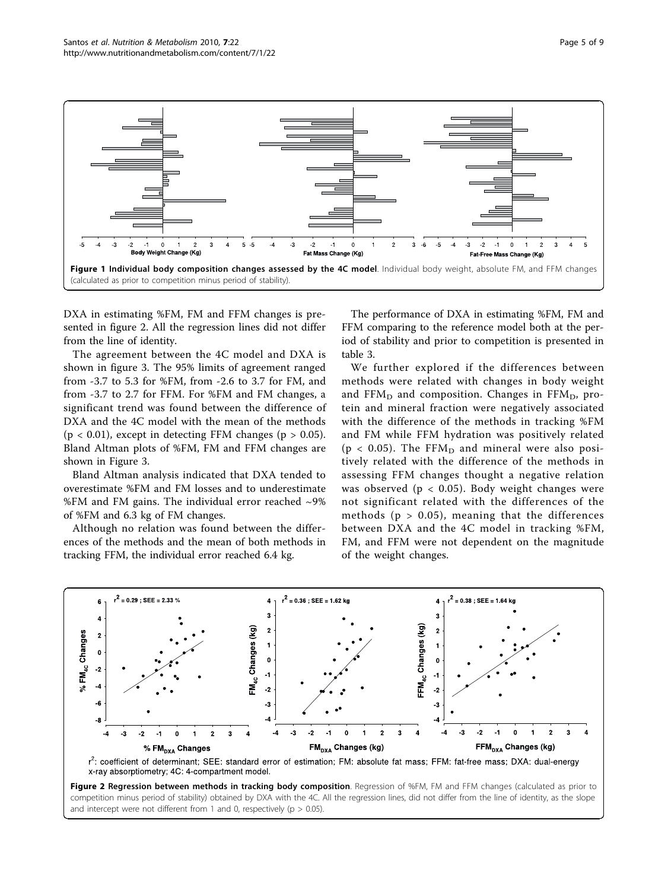<span id="page-4-0"></span>

DXA in estimating %FM, FM and FFM changes is presented in figure 2. All the regression lines did not differ from the line of identity.

The agreement between the 4C model and DXA is shown in figure [3](#page-5-0). The 95% limits of agreement ranged from -3.7 to 5.3 for %FM, from -2.6 to 3.7 for FM, and from -3.7 to 2.7 for FFM. For %FM and FM changes, a significant trend was found between the difference of DXA and the 4C model with the mean of the methods ( $p < 0.01$ ), except in detecting FFM changes ( $p > 0.05$ ). Bland Altman plots of %FM, FM and FFM changes are shown in Figure [3](#page-5-0).

Bland Altman analysis indicated that DXA tended to overestimate %FM and FM losses and to underestimate %FM and FM gains. The individual error reached  $\sim$ 9% of %FM and 6.3 kg of FM changes.

Although no relation was found between the differences of the methods and the mean of both methods in tracking FFM, the individual error reached 6.4 kg.

The performance of DXA in estimating %FM, FM and FFM comparing to the reference model both at the period of stability and prior to competition is presented in table [3](#page-5-0).

We further explored if the differences between methods were related with changes in body weight and  $FFM<sub>D</sub>$  and composition. Changes in  $FFM<sub>D</sub>$ , protein and mineral fraction were negatively associated with the difference of the methods in tracking %FM and FM while FFM hydration was positively related ( $p < 0.05$ ). The FFM<sub>D</sub> and mineral were also positively related with the difference of the methods in assessing FFM changes thought a negative relation was observed ( $p < 0.05$ ). Body weight changes were not significant related with the differences of the methods ( $p > 0.05$ ), meaning that the differences between DXA and the 4C model in tracking %FM, FM, and FFM were not dependent on the magnitude of the weight changes.





Figure 2 Regression between methods in tracking body composition. Regression of %FM, FM and FFM changes (calculated as prior to competition minus period of stability) obtained by DXA with the 4C. All the regression lines, did not differ from the line of identity, as the slope and intercept were not different from 1 and 0, respectively ( $p > 0.05$ ).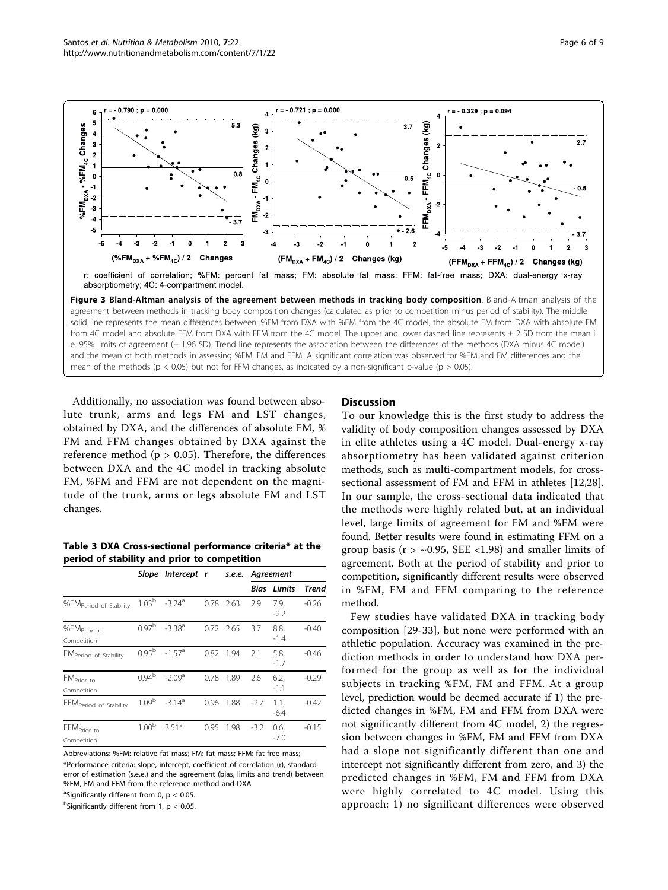<span id="page-5-0"></span>

Figure 3 Bland-Altman analysis of the agreement between methods in tracking body composition. Bland-Altman analysis of the agreement between methods in tracking body composition changes (calculated as prior to competition minus period of stability). The middle solid line represents the mean differences between: %FM from DXA with %FM from the 4C model, the absolute FM from DXA with absolute FM from 4C model and absolute FFM from DXA with FFM from the 4C model. The upper and lower dashed line represents ± 2 SD from the mean i. e. 95% limits of agreement (± 1.96 SD). Trend line represents the association between the differences of the methods (DXA minus 4C model) and the mean of both methods in assessing %FM, FM and FFM. A significant correlation was observed for %FM and FM differences and the mean of the methods ( $p < 0.05$ ) but not for FFM changes, as indicated by a non-significant p-value ( $p > 0.05$ ).

Additionally, no association was found between absolute trunk, arms and legs FM and LST changes, obtained by DXA, and the differences of absolute FM, % FM and FFM changes obtained by DXA against the reference method ( $p > 0.05$ ). Therefore, the differences between DXA and the 4C model in tracking absolute FM, %FM and FFM are not dependent on the magnitude of the trunk, arms or legs absolute FM and LST changes.

Table 3 DXA Cross-sectional performance criteria\* at the period of stability and prior to competition

|                                        | Slope             | Intercept r          |      | s.e.e.    | Agreement |                |         |
|----------------------------------------|-------------------|----------------------|------|-----------|-----------|----------------|---------|
|                                        |                   |                      |      |           | Bias      | Limits         | Trend   |
| %FM <sub>Period</sub> of Stability     | 1.03 <sup>b</sup> | $-3.24$ <sup>a</sup> |      | 0.78 2.63 | 2.9       | 7.9,<br>$-2.2$ | $-0.26$ |
| %FM <sub>Prior to</sub><br>Competition | 0.97 <sup>b</sup> | $-3.38^{a}$          |      | 0.72 2.65 | 3.7       | 8.8,<br>-1.4   | $-0.40$ |
| FM <sub>Period</sub> of Stability      | 0.95 <sup>b</sup> | $-1.57$ <sup>a</sup> | 0.82 | 1.94      | 2.1       | 5.8,<br>$-1.7$ | $-0.46$ |
| FM <sub>Prior to</sub><br>Competition  | 0.94 <sup>b</sup> | $-2.09a$             | 0.78 | 1.89      | 2.6       | 6.2,<br>$-1.1$ | $-0.29$ |
| FFM <sub>Period</sub> of Stability     | 1.09 <sup>b</sup> | $-3.14$ <sup>a</sup> | 0.96 | 1.88      | $-2.7$    | 1.1,<br>$-6.4$ | $-0.42$ |
| FFM <sub>Prior to</sub><br>Competition | 1.00 <sup>b</sup> | $351^a$              | 0.95 | 1.98      | $-3.2$    | 0.6,<br>$-7.0$ | $-0.15$ |

Abbreviations: %FM: relative fat mass; FM: fat mass; FFM: fat-free mass; \*Performance criteria: slope, intercept, coefficient of correlation (r), standard error of estimation (s.e.e.) and the agreement (bias, limits and trend) between %FM, FM and FFM from the reference method and DXA

<sup>a</sup>Significantly different from 0,  $p < 0.05$ .  $^{\rm b}$ Significantly different from 1, p  $<$  0.05.

## **Discussion**

To our knowledge this is the first study to address the validity of body composition changes assessed by DXA in elite athletes using a 4C model. Dual-energy x-ray absorptiometry has been validated against criterion methods, such as multi-compartment models, for crosssectional assessment of FM and FFM in athletes [\[12,28](#page-8-0)]. In our sample, the cross-sectional data indicated that the methods were highly related but, at an individual level, large limits of agreement for FM and %FM were found. Better results were found in estimating FFM on a group basis ( $r > -0.95$ , SEE <1.98) and smaller limits of agreement. Both at the period of stability and prior to competition, significantly different results were observed in %FM, FM and FFM comparing to the reference method.

Few studies have validated DXA in tracking body composition [[29-33\]](#page-8-0), but none were performed with an athletic population. Accuracy was examined in the prediction methods in order to understand how DXA performed for the group as well as for the individual subjects in tracking %FM, FM and FFM. At a group level, prediction would be deemed accurate if 1) the predicted changes in %FM, FM and FFM from DXA were not significantly different from 4C model, 2) the regression between changes in %FM, FM and FFM from DXA had a slope not significantly different than one and intercept not significantly different from zero, and 3) the predicted changes in %FM, FM and FFM from DXA were highly correlated to 4C model. Using this approach: 1) no significant differences were observed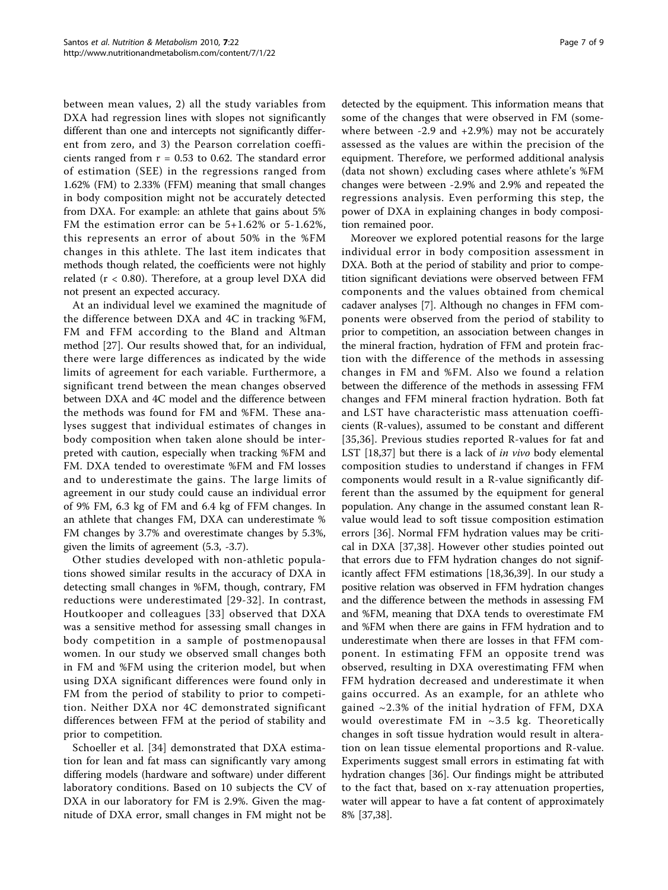between mean values, 2) all the study variables from DXA had regression lines with slopes not significantly different than one and intercepts not significantly different from zero, and 3) the Pearson correlation coefficients ranged from  $r = 0.53$  to 0.62. The standard error of estimation (SEE) in the regressions ranged from 1.62% (FM) to 2.33% (FFM) meaning that small changes in body composition might not be accurately detected from DXA. For example: an athlete that gains about 5% FM the estimation error can be 5+1.62% or 5-1.62%, this represents an error of about 50% in the %FM changes in this athlete. The last item indicates that methods though related, the coefficients were not highly related  $(r < 0.80)$ . Therefore, at a group level DXA did not present an expected accuracy.

At an individual level we examined the magnitude of the difference between DXA and 4C in tracking %FM, FM and FFM according to the Bland and Altman method [[27\]](#page-8-0). Our results showed that, for an individual, there were large differences as indicated by the wide limits of agreement for each variable. Furthermore, a significant trend between the mean changes observed between DXA and 4C model and the difference between the methods was found for FM and %FM. These analyses suggest that individual estimates of changes in body composition when taken alone should be interpreted with caution, especially when tracking %FM and FM. DXA tended to overestimate %FM and FM losses and to underestimate the gains. The large limits of agreement in our study could cause an individual error of 9% FM, 6.3 kg of FM and 6.4 kg of FFM changes. In an athlete that changes FM, DXA can underestimate % FM changes by 3.7% and overestimate changes by 5.3%, given the limits of agreement (5.3, -3.7).

Other studies developed with non-athletic populations showed similar results in the accuracy of DXA in detecting small changes in %FM, though, contrary, FM reductions were underestimated [\[29-32](#page-8-0)]. In contrast, Houtkooper and colleagues [[33](#page-8-0)] observed that DXA was a sensitive method for assessing small changes in body competition in a sample of postmenopausal women. In our study we observed small changes both in FM and %FM using the criterion model, but when using DXA significant differences were found only in FM from the period of stability to prior to competition. Neither DXA nor 4C demonstrated significant differences between FFM at the period of stability and prior to competition.

Schoeller et al. [\[34](#page-8-0)] demonstrated that DXA estimation for lean and fat mass can significantly vary among differing models (hardware and software) under different laboratory conditions. Based on 10 subjects the CV of DXA in our laboratory for FM is 2.9%. Given the magnitude of DXA error, small changes in FM might not be

detected by the equipment. This information means that some of the changes that were observed in FM (somewhere between -2.9 and +2.9%) may not be accurately assessed as the values are within the precision of the equipment. Therefore, we performed additional analysis (data not shown) excluding cases where athlete's %FM changes were between -2.9% and 2.9% and repeated the regressions analysis. Even performing this step, the power of DXA in explaining changes in body composition remained poor.

Moreover we explored potential reasons for the large individual error in body composition assessment in DXA. Both at the period of stability and prior to competition significant deviations were observed between FFM components and the values obtained from chemical cadaver analyses [[7\]](#page-8-0). Although no changes in FFM components were observed from the period of stability to prior to competition, an association between changes in the mineral fraction, hydration of FFM and protein fraction with the difference of the methods in assessing changes in FM and %FM. Also we found a relation between the difference of the methods in assessing FFM changes and FFM mineral fraction hydration. Both fat and LST have characteristic mass attenuation coefficients (R-values), assumed to be constant and different [[35](#page-8-0),[36\]](#page-8-0). Previous studies reported R-values for fat and LST [\[18,37\]](#page-8-0) but there is a lack of *in vivo* body elemental composition studies to understand if changes in FFM components would result in a R-value significantly different than the assumed by the equipment for general population. Any change in the assumed constant lean Rvalue would lead to soft tissue composition estimation errors [\[36\]](#page-8-0). Normal FFM hydration values may be critical in DXA [\[37](#page-8-0),[38\]](#page-8-0). However other studies pointed out that errors due to FFM hydration changes do not significantly affect FFM estimations [[18,36,39\]](#page-8-0). In our study a positive relation was observed in FFM hydration changes and the difference between the methods in assessing FM and %FM, meaning that DXA tends to overestimate FM and %FM when there are gains in FFM hydration and to underestimate when there are losses in that FFM component. In estimating FFM an opposite trend was observed, resulting in DXA overestimating FFM when FFM hydration decreased and underestimate it when gains occurred. As an example, for an athlete who gained ~2.3% of the initial hydration of FFM, DXA would overestimate FM in  $\sim$ 3.5 kg. Theoretically changes in soft tissue hydration would result in alteration on lean tissue elemental proportions and R-value. Experiments suggest small errors in estimating fat with hydration changes [[36](#page-8-0)]. Our findings might be attributed to the fact that, based on x-ray attenuation properties, water will appear to have a fat content of approximately 8% [[37,38](#page-8-0)].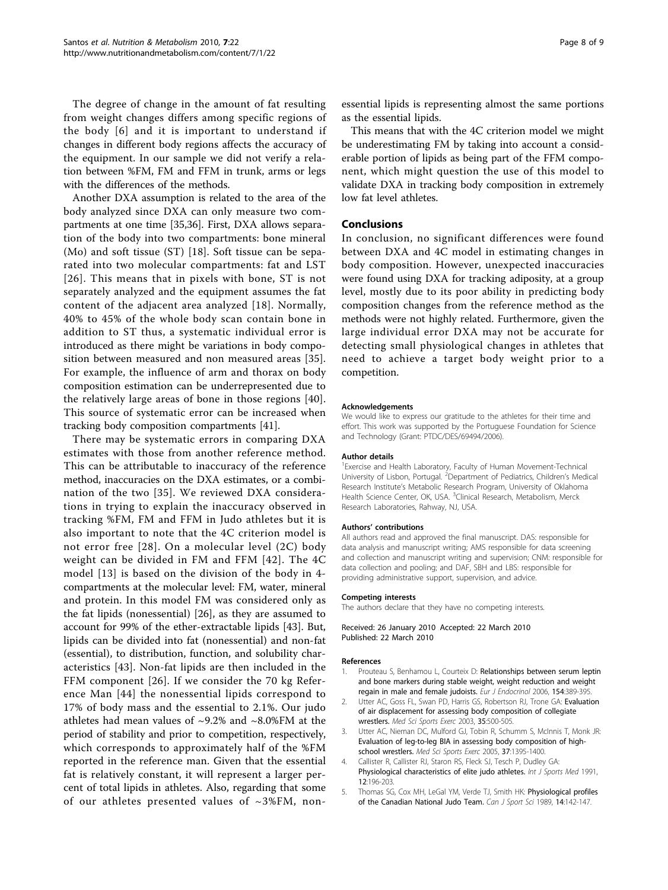<span id="page-7-0"></span>The degree of change in the amount of fat resulting from weight changes differs among specific regions of the body [[6](#page-8-0)] and it is important to understand if changes in different body regions affects the accuracy of the equipment. In our sample we did not verify a relation between %FM, FM and FFM in trunk, arms or legs with the differences of the methods.

Another DXA assumption is related to the area of the body analyzed since DXA can only measure two compartments at one time [[35,36\]](#page-8-0). First, DXA allows separation of the body into two compartments: bone mineral (Mo) and soft tissue (ST) [\[18](#page-8-0)]. Soft tissue can be separated into two molecular compartments: fat and LST [[26\]](#page-8-0). This means that in pixels with bone, ST is not separately analyzed and the equipment assumes the fat content of the adjacent area analyzed [[18](#page-8-0)]. Normally, 40% to 45% of the whole body scan contain bone in addition to ST thus, a systematic individual error is introduced as there might be variations in body composition between measured and non measured areas [[35](#page-8-0)]. For example, the influence of arm and thorax on body composition estimation can be underrepresented due to the relatively large areas of bone in those regions [[40](#page-8-0)]. This source of systematic error can be increased when tracking body composition compartments [[41\]](#page-8-0).

There may be systematic errors in comparing DXA estimates with those from another reference method. This can be attributable to inaccuracy of the reference method, inaccuracies on the DXA estimates, or a combination of the two [\[35\]](#page-8-0). We reviewed DXA considerations in trying to explain the inaccuracy observed in tracking %FM, FM and FFM in Judo athletes but it is also important to note that the 4C criterion model is not error free [[28](#page-8-0)]. On a molecular level (2C) body weight can be divided in FM and FFM [[42\]](#page-8-0). The 4C model [[13\]](#page-8-0) is based on the division of the body in 4 compartments at the molecular level: FM, water, mineral and protein. In this model FM was considered only as the fat lipids (nonessential) [\[26](#page-8-0)], as they are assumed to account for 99% of the ether-extractable lipids [[43](#page-8-0)]. But, lipids can be divided into fat (nonessential) and non-fat (essential), to distribution, function, and solubility characteristics [\[43](#page-8-0)]. Non-fat lipids are then included in the FFM component [\[26\]](#page-8-0). If we consider the 70 kg Reference Man [\[44\]](#page-8-0) the nonessential lipids correspond to 17% of body mass and the essential to 2.1%. Our judo athletes had mean values of  $\sim$ 9.2% and  $\sim$ 8.0%FM at the period of stability and prior to competition, respectively, which corresponds to approximately half of the %FM reported in the reference man. Given that the essential fat is relatively constant, it will represent a larger percent of total lipids in athletes. Also, regarding that some of our athletes presented values of  $\sim$ 3%FM, nonessential lipids is representing almost the same portions as the essential lipids.

This means that with the 4C criterion model we might be underestimating FM by taking into account a considerable portion of lipids as being part of the FFM component, which might question the use of this model to validate DXA in tracking body composition in extremely low fat level athletes.

# Conclusions

In conclusion, no significant differences were found between DXA and 4C model in estimating changes in body composition. However, unexpected inaccuracies were found using DXA for tracking adiposity, at a group level, mostly due to its poor ability in predicting body composition changes from the reference method as the methods were not highly related. Furthermore, given the large individual error DXA may not be accurate for detecting small physiological changes in athletes that need to achieve a target body weight prior to a competition.

#### Acknowledgements

We would like to express our gratitude to the athletes for their time and effort. This work was supported by the Portuguese Foundation for Science and Technology (Grant: PTDC/DES/69494/2006).

#### Author details

<sup>1</sup> Exercise and Health Laboratory, Faculty of Human Movement-Technical University of Lisbon, Portugal. <sup>2</sup>Department of Pediatrics, Children's Medical Research Institute's Metabolic Research Program, University of Oklahoma Health Science Center, OK, USA. <sup>3</sup>Clinical Research, Metabolism, Merck Research Laboratories, Rahway, NJ, USA.

#### Authors' contributions

All authors read and approved the final manuscript. DAS: responsible for data analysis and manuscript writing; AMS responsible for data screening and collection and manuscript writing and supervision; CNM: responsible for data collection and pooling; and DAF, SBH and LBS: responsible for providing administrative support, supervision, and advice.

#### Competing interests

The authors declare that they have no competing interests.

#### Received: 26 January 2010 Accepted: 22 March 2010 Published: 22 March 2010

#### References

- 1. Prouteau S, Benhamou L, Courteix D: [Relationships between serum leptin](http://www.ncbi.nlm.nih.gov/pubmed/16498051?dopt=Abstract) [and bone markers during stable weight, weight reduction and weight](http://www.ncbi.nlm.nih.gov/pubmed/16498051?dopt=Abstract) [regain in male and female judoists.](http://www.ncbi.nlm.nih.gov/pubmed/16498051?dopt=Abstract) Eur J Endocrinol 2006, 154:389-395.
- 2. Utter AC, Goss FL, Swan PD, Harris GS, Robertson RJ, Trone GA: [Evaluation](http://www.ncbi.nlm.nih.gov/pubmed/12618582?dopt=Abstract) [of air displacement for assessing body composition of collegiate](http://www.ncbi.nlm.nih.gov/pubmed/12618582?dopt=Abstract) [wrestlers.](http://www.ncbi.nlm.nih.gov/pubmed/12618582?dopt=Abstract) Med Sci Sports Exerc 2003, 35:500-505.
- 3. Utter AC, Nieman DC, Mulford GJ, Tobin R, Schumm S, McInnis T, Monk JR: [Evaluation of leg-to-leg BIA in assessing body composition of high](http://www.ncbi.nlm.nih.gov/pubmed/16118588?dopt=Abstract)[school wrestlers.](http://www.ncbi.nlm.nih.gov/pubmed/16118588?dopt=Abstract) Med Sci Sports Exerc 2005, 37:1395-1400.
- Callister R, Callister RJ, Staron RS, Fleck SJ, Tesch P, Dudley GA: [Physiological characteristics of elite judo athletes.](http://www.ncbi.nlm.nih.gov/pubmed/1860744?dopt=Abstract) Int J Sports Med 1991, 12:196-203.
- 5. Thomas SG, Cox MH, LeGal YM, Verde TJ, Smith HK: [Physiological profiles](http://www.ncbi.nlm.nih.gov/pubmed/2819609?dopt=Abstract) [of the Canadian National Judo Team.](http://www.ncbi.nlm.nih.gov/pubmed/2819609?dopt=Abstract) Can J Sport Sci 1989, 14:142-147.